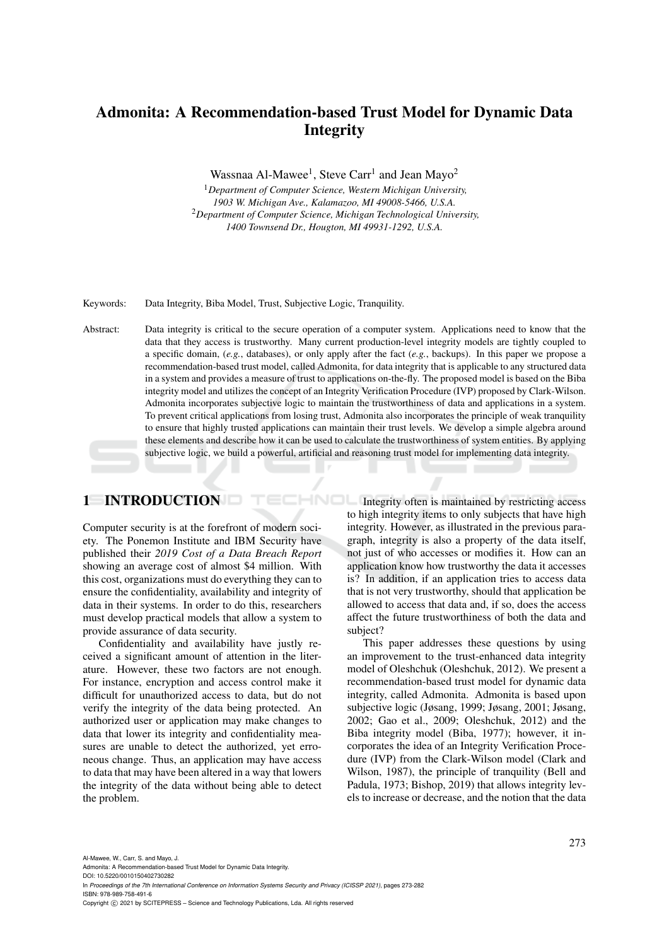# Admonita: A Recommendation-based Trust Model for Dynamic Data Integrity

Wassnaa Al-Mawee<sup>1</sup>, Steve Carr<sup>1</sup> and Jean Mayo<sup>2</sup>

<sup>1</sup>*Department of Computer Science, Western Michigan University, 1903 W. Michigan Ave., Kalamazoo, MI 49008-5466, U.S.A.* <sup>2</sup>*Department of Computer Science, Michigan Technological University, 1400 Townsend Dr., Hougton, MI 49931-1292, U.S.A.*

Keywords: Data Integrity, Biba Model, Trust, Subjective Logic, Tranquility.

Abstract: Data integrity is critical to the secure operation of a computer system. Applications need to know that the data that they access is trustworthy. Many current production-level integrity models are tightly coupled to a specific domain, (*e.g.*, databases), or only apply after the fact (*e.g.*, backups). In this paper we propose a recommendation-based trust model, called Admonita, for data integrity that is applicable to any structured data in a system and provides a measure of trust to applications on-the-fly. The proposed model is based on the Biba integrity model and utilizes the concept of an Integrity Verification Procedure (IVP) proposed by Clark-Wilson. Admonita incorporates subjective logic to maintain the trustworthiness of data and applications in a system. To prevent critical applications from losing trust, Admonita also incorporates the principle of weak tranquility to ensure that highly trusted applications can maintain their trust levels. We develop a simple algebra around these elements and describe how it can be used to calculate the trustworthiness of system entities. By applying subjective logic, we build a powerful, artificial and reasoning trust model for implementing data integrity.

## 1 INTRODUCTION

Computer security is at the forefront of modern society. The Ponemon Institute and IBM Security have published their *2019 Cost of a Data Breach Report* showing an average cost of almost \$4 million. With this cost, organizations must do everything they can to ensure the confidentiality, availability and integrity of data in their systems. In order to do this, researchers must develop practical models that allow a system to provide assurance of data security.

Confidentiality and availability have justly received a significant amount of attention in the literature. However, these two factors are not enough. For instance, encryption and access control make it difficult for unauthorized access to data, but do not verify the integrity of the data being protected. An authorized user or application may make changes to data that lower its integrity and confidentiality measures are unable to detect the authorized, yet erroneous change. Thus, an application may have access to data that may have been altered in a way that lowers the integrity of the data without being able to detect the problem.

HNOL Integrity often is maintained by restricting access to high integrity items to only subjects that have high integrity. However, as illustrated in the previous paragraph, integrity is also a property of the data itself, not just of who accesses or modifies it. How can an application know how trustworthy the data it accesses is? In addition, if an application tries to access data that is not very trustworthy, should that application be allowed to access that data and, if so, does the access affect the future trustworthiness of both the data and subject?

> This paper addresses these questions by using an improvement to the trust-enhanced data integrity model of Oleshchuk (Oleshchuk, 2012). We present a recommendation-based trust model for dynamic data integrity, called Admonita. Admonita is based upon subjective logic (Jøsang, 1999; Jøsang, 2001; Jøsang, 2002; Gao et al., 2009; Oleshchuk, 2012) and the Biba integrity model (Biba, 1977); however, it incorporates the idea of an Integrity Verification Procedure (IVP) from the Clark-Wilson model (Clark and Wilson, 1987), the principle of tranquility (Bell and Padula, 1973; Bishop, 2019) that allows integrity levels to increase or decrease, and the notion that the data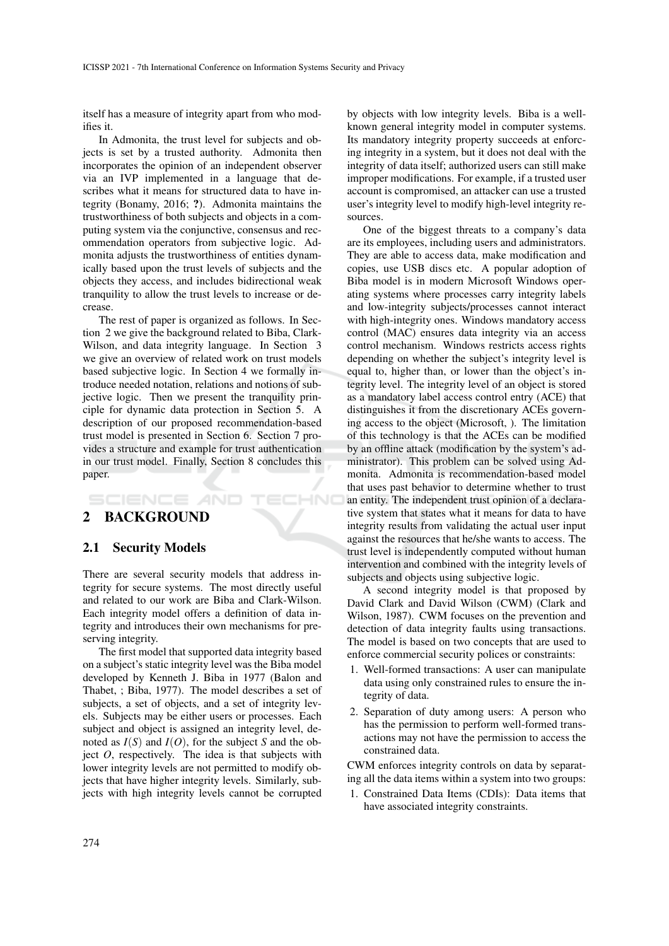itself has a measure of integrity apart from who modifies it.

In Admonita, the trust level for subjects and objects is set by a trusted authority. Admonita then incorporates the opinion of an independent observer via an IVP implemented in a language that describes what it means for structured data to have integrity (Bonamy, 2016; ?). Admonita maintains the trustworthiness of both subjects and objects in a computing system via the conjunctive, consensus and recommendation operators from subjective logic. Admonita adjusts the trustworthiness of entities dynamically based upon the trust levels of subjects and the objects they access, and includes bidirectional weak tranquility to allow the trust levels to increase or decrease.

The rest of paper is organized as follows. In Section 2 we give the background related to Biba, Clark-Wilson, and data integrity language. In Section 3 we give an overview of related work on trust models based subjective logic. In Section 4 we formally introduce needed notation, relations and notions of subjective logic. Then we present the tranquility principle for dynamic data protection in Section 5. A description of our proposed recommendation-based trust model is presented in Section 6. Section 7 provides a structure and example for trust authentication in our trust model. Finally, Section 8 concludes this paper.

HNO

## 2 BACKGROUND

**SCIENCE AND** 

#### 2.1 Security Models

There are several security models that address integrity for secure systems. The most directly useful and related to our work are Biba and Clark-Wilson. Each integrity model offers a definition of data integrity and introduces their own mechanisms for preserving integrity.

The first model that supported data integrity based on a subject's static integrity level was the Biba model developed by Kenneth J. Biba in 1977 (Balon and Thabet, ; Biba, 1977). The model describes a set of subjects, a set of objects, and a set of integrity levels. Subjects may be either users or processes. Each subject and object is assigned an integrity level, denoted as  $I(S)$  and  $I(O)$ , for the subject *S* and the object *O*, respectively. The idea is that subjects with lower integrity levels are not permitted to modify objects that have higher integrity levels. Similarly, subjects with high integrity levels cannot be corrupted

by objects with low integrity levels. Biba is a wellknown general integrity model in computer systems. Its mandatory integrity property succeeds at enforcing integrity in a system, but it does not deal with the integrity of data itself; authorized users can still make improper modifications. For example, if a trusted user account is compromised, an attacker can use a trusted user's integrity level to modify high-level integrity resources.

One of the biggest threats to a company's data are its employees, including users and administrators. They are able to access data, make modification and copies, use USB discs etc. A popular adoption of Biba model is in modern Microsoft Windows operating systems where processes carry integrity labels and low-integrity subjects/processes cannot interact with high-integrity ones. Windows mandatory access control (MAC) ensures data integrity via an access control mechanism. Windows restricts access rights depending on whether the subject's integrity level is equal to, higher than, or lower than the object's integrity level. The integrity level of an object is stored as a mandatory label access control entry (ACE) that distinguishes it from the discretionary ACEs governing access to the object (Microsoft, ). The limitation of this technology is that the ACEs can be modified by an offline attack (modification by the system's administrator). This problem can be solved using Admonita. Admonita is recommendation-based model that uses past behavior to determine whether to trust an entity. The independent trust opinion of a declarative system that states what it means for data to have integrity results from validating the actual user input against the resources that he/she wants to access. The trust level is independently computed without human intervention and combined with the integrity levels of subjects and objects using subjective logic.

A second integrity model is that proposed by David Clark and David Wilson (CWM) (Clark and Wilson, 1987). CWM focuses on the prevention and detection of data integrity faults using transactions. The model is based on two concepts that are used to enforce commercial security polices or constraints:

- 1. Well-formed transactions: A user can manipulate data using only constrained rules to ensure the integrity of data.
- 2. Separation of duty among users: A person who has the permission to perform well-formed transactions may not have the permission to access the constrained data.

CWM enforces integrity controls on data by separating all the data items within a system into two groups:

1. Constrained Data Items (CDIs): Data items that have associated integrity constraints.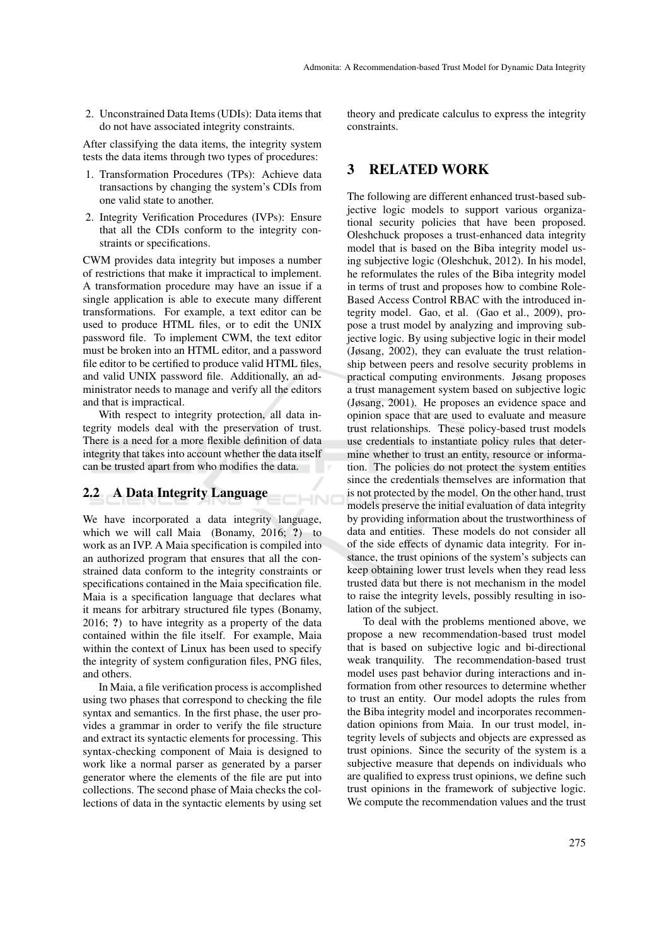2. Unconstrained Data Items (UDIs): Data items that do not have associated integrity constraints.

After classifying the data items, the integrity system tests the data items through two types of procedures:

- 1. Transformation Procedures (TPs): Achieve data transactions by changing the system's CDIs from one valid state to another.
- 2. Integrity Verification Procedures (IVPs): Ensure that all the CDIs conform to the integrity constraints or specifications.

CWM provides data integrity but imposes a number of restrictions that make it impractical to implement. A transformation procedure may have an issue if a single application is able to execute many different transformations. For example, a text editor can be used to produce HTML files, or to edit the UNIX password file. To implement CWM, the text editor must be broken into an HTML editor, and a password file editor to be certified to produce valid HTML files, and valid UNIX password file. Additionally, an administrator needs to manage and verify all the editors and that is impractical.

With respect to integrity protection, all data integrity models deal with the preservation of trust. There is a need for a more flexible definition of data integrity that takes into account whether the data itself can be trusted apart from who modifies the data.

HND

### 2.2 A Data Integrity Language

We have incorporated a data integrity language, which we will call Maia (Bonamy, 2016; ?) to work as an IVP. A Maia specification is compiled into an authorized program that ensures that all the constrained data conform to the integrity constraints or specifications contained in the Maia specification file. Maia is a specification language that declares what it means for arbitrary structured file types (Bonamy, 2016; ?) to have integrity as a property of the data contained within the file itself. For example, Maia within the context of Linux has been used to specify the integrity of system configuration files, PNG files, and others.

In Maia, a file verification process is accomplished using two phases that correspond to checking the file syntax and semantics. In the first phase, the user provides a grammar in order to verify the file structure and extract its syntactic elements for processing. This syntax-checking component of Maia is designed to work like a normal parser as generated by a parser generator where the elements of the file are put into collections. The second phase of Maia checks the collections of data in the syntactic elements by using set

theory and predicate calculus to express the integrity constraints.

### 3 RELATED WORK

The following are different enhanced trust-based subjective logic models to support various organizational security policies that have been proposed. Oleshchuck proposes a trust-enhanced data integrity model that is based on the Biba integrity model using subjective logic (Oleshchuk, 2012). In his model, he reformulates the rules of the Biba integrity model in terms of trust and proposes how to combine Role-Based Access Control RBAC with the introduced integrity model. Gao, et al. (Gao et al., 2009), propose a trust model by analyzing and improving subjective logic. By using subjective logic in their model (Jøsang, 2002), they can evaluate the trust relationship between peers and resolve security problems in practical computing environments. Jøsang proposes a trust management system based on subjective logic (Jøsang, 2001). He proposes an evidence space and opinion space that are used to evaluate and measure trust relationships. These policy-based trust models use credentials to instantiate policy rules that determine whether to trust an entity, resource or information. The policies do not protect the system entities since the credentials themselves are information that is not protected by the model. On the other hand, trust models preserve the initial evaluation of data integrity by providing information about the trustworthiness of data and entities. These models do not consider all of the side effects of dynamic data integrity. For instance, the trust opinions of the system's subjects can keep obtaining lower trust levels when they read less trusted data but there is not mechanism in the model to raise the integrity levels, possibly resulting in isolation of the subject.

To deal with the problems mentioned above, we propose a new recommendation-based trust model that is based on subjective logic and bi-directional weak tranquility. The recommendation-based trust model uses past behavior during interactions and information from other resources to determine whether to trust an entity. Our model adopts the rules from the Biba integrity model and incorporates recommendation opinions from Maia. In our trust model, integrity levels of subjects and objects are expressed as trust opinions. Since the security of the system is a subjective measure that depends on individuals who are qualified to express trust opinions, we define such trust opinions in the framework of subjective logic. We compute the recommendation values and the trust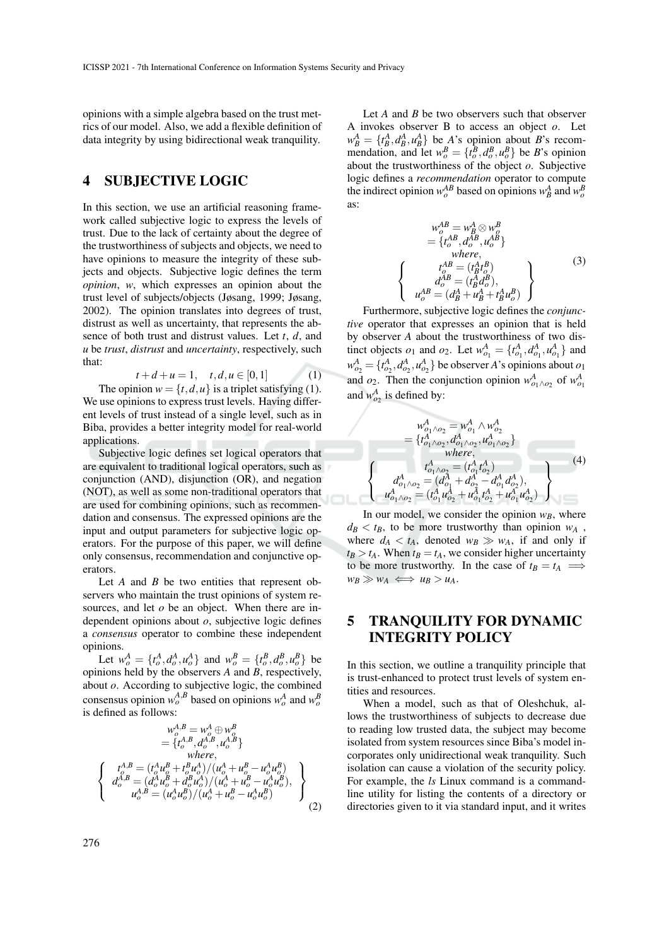opinions with a simple algebra based on the trust metrics of our model. Also, we add a flexible definition of data integrity by using bidirectional weak tranquility.

### 4 SUBJECTIVE LOGIC

In this section, we use an artificial reasoning framework called subjective logic to express the levels of trust. Due to the lack of certainty about the degree of the trustworthiness of subjects and objects, we need to have opinions to measure the integrity of these subjects and objects. Subjective logic defines the term *opinion*, *w*, which expresses an opinion about the trust level of subjects/objects (Jøsang, 1999; Jøsang, 2002). The opinion translates into degrees of trust, distrust as well as uncertainty, that represents the absence of both trust and distrust values. Let *t*, *d*, and *u* be *trust*, *distrust* and *uncertainty*, respectively, such that:

$$
t + d + u = 1, \quad t, d, u \in [0, 1]
$$
 (1)

The opinion  $w = \{t, d, u\}$  is a triplet satisfying (1). We use opinions to express trust levels. Having different levels of trust instead of a single level, such as in Biba, provides a better integrity model for real-world applications.

Subjective logic defines set logical operators that are equivalent to traditional logical operators, such as conjunction (AND), disjunction (OR), and negation (NOT), as well as some non-traditional operators that are used for combining opinions, such as recommendation and consensus. The expressed opinions are the input and output parameters for subjective logic operators. For the purpose of this paper, we will define only consensus, recommendation and conjunctive operators.

Let *A* and *B* be two entities that represent observers who maintain the trust opinions of system resources, and let *o* be an object. When there are independent opinions about *o*, subjective logic defines a *consensus* operator to combine these independent opinions.

Let  $w_o^A = \{t_o^A, d_o^A, u_o^A\}$  and  $w_o^B = \{t_o^B, d_o^B, u_o^B\}$  be opinions held by the observers *A* and *B*, respectively, about *o*. According to subjective logic, the combined consensus opinion  $w_o^{A,B}$  based on opinions  $w_o^A$  and  $w_o^B$ is defined as follows:

$$
w_o^{A,B} = w_o^A \oplus w_o^B
$$
  
= {t\_o^{A,B}, d\_o^{A,B}, u\_o^{A,B} }  
where,  

$$
\begin{cases}\nt_o^{A,B} = (t_o^A u_o^B + t_o^B u_o^A)/(u_o^A + u_o^B - u_o^A u_o^B) \\
d_o^{A,B} = (d_o^A u_o^B + d_o^B u_o^A)/(u_o^A + u_o^B - u_o^A u_o^B), \\
u_o^{A,B} = (u_o^A u_o^B)/(u_o^A + u_o^B - u_o^A u_o^B)\n\end{cases}
$$
(2)

Let *A* and *B* be two observers such that observer A invokes observer B to access an object *o*. Let  $w_B^A = \{t_B^A, d_B^A, u_B^A\}$  be *A*'s opinion about *B*'s recommendation, and let  $w_o^B = \{t_o^B, d_o^B, u_o^B\}$  be *B*'s opinion about the trustworthiness of the object *o*. Subjective logic defines a *recommendation* operator to compute the indirect opinion  $w_o^{AB}$  based on opinions  $w_B^A$  and  $w_o^B$ as:

$$
w_o^{AB} = w_B^A \otimes w_o^B
$$
  
= { $t_o^{AB}$ ,  $d_o^{AB}$ ,  $u_o^{AB}$ }  
where,  

$$
\begin{cases}\n t_o^A B = (t_B^A t_o^B) \\
 d_o^{AB} = (t_B^A d_o^B), \\
 u_o^{AB} = (d_B^A + u_B^A + t_B^A u_o^B)\n\end{cases}
$$
(3)

Furthermore, subjective logic defines the *conjunctive* operator that expresses an opinion that is held by observer *A* about the trustworthiness of two distinct objects  $o_1$  and  $o_2$ . Let  $w_{o_1}^A = \{t_{o_1}^A, d_{o_1}^A, u_{o_1}^A\}$  and  $w_{o_2}^A = \{t_{o_2}^A, d_{o_2}^A, u_{o_2}^A\}$  be observer *A*'s opinions about  $o_1$ and  $o_2$ . Then the conjunction opinion  $w^A_{o_1 \wedge o_2}$  of  $w^A_{o_1}$ and  $w_{o_2}^A$  is defined by:

$$
w_{o_1 \wedge o_2}^A = w_{o_1}^A \wedge w_{o_2}^A
$$
  
= {t\_{o\_1 \wedge o\_2}^A, d\_{o\_1 \wedge o\_2}^A, d\_{o\_1 \wedge o\_2}^A}  
where,  

$$
\begin{cases} t_{o_1 \wedge o_2}^A = (t_{o_1}^A t_{o_2}^A) \\ d_{o_1 \wedge o_2}^A = (d_{o_1}^A + d_{o_2}^A - d_{o_1}^A d_{o_2}^A), \\ u_{o_1 \wedge o_2}^A = (t_{o_1}^A u_{o_2}^A + u_{o_1}^A t_{o_2}^A + u_{o_1}^A u_{o_2}^A) \end{cases} (4)
$$

In our model, we consider the opinion  $w_B$ , where  $d_B < t_B$ , to be more trustworthy than opinion  $w_A$ , where  $d_A < t_A$ , denoted  $w_B \gg w_A$ , if and only if  $t_B > t_A$ . When  $t_B = t_A$ , we consider higher uncertainty to be more trustworthy. In the case of  $t_B = t_A \implies$  $w_B \gg w_A \iff u_B > u_A$ .

## 5 TRANQUILITY FOR DYNAMIC INTEGRITY POLICY

In this section, we outline a tranquility principle that is trust-enhanced to protect trust levels of system entities and resources.

When a model, such as that of Oleshchuk, allows the trustworthiness of subjects to decrease due to reading low trusted data, the subject may become isolated from system resources since Biba's model incorporates only unidirectional weak tranquility. Such isolation can cause a violation of the security policy. For example, the *ls* Linux command is a commandline utility for listing the contents of a directory or directories given to it via standard input, and it writes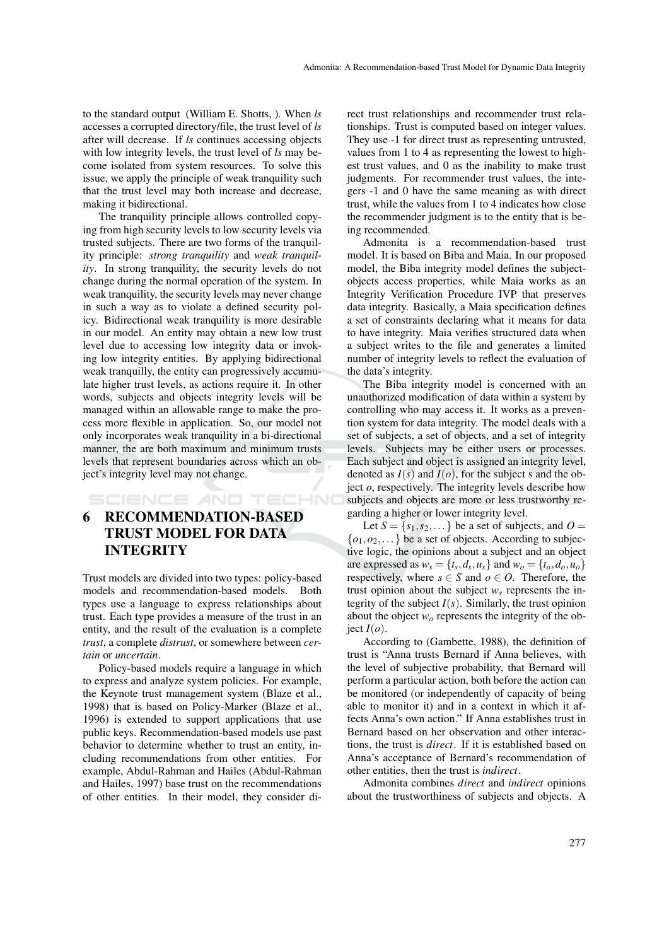to the standard output (William E. Shotts, ). When *ls* accesses a corrupted directory/file, the trust level of *ls* after will decrease. If *ls* continues accessing objects with low integrity levels, the trust level of *ls* may become isolated from system resources. To solve this issue, we apply the principle of weak tranquility such that the trust level may both increase and decrease, making it bidirectional.

The tranquility principle allows controlled copying from high security levels to low security levels via trusted subjects. There are two forms of the tranquility principle: *strong tranquility* and *weak tranquility*. In strong tranquility, the security levels do not change during the normal operation of the system. In weak tranquility, the security levels may never change in such a way as to violate a defined security policy. Bidirectional weak tranquility is more desirable in our model. An entity may obtain a new low trust level due to accessing low integrity data or invoking low integrity entities. By applying bidirectional weak tranquilly, the entity can progressively accumulate higher trust levels, as actions require it. In other words, subjects and objects integrity levels will be managed within an allowable range to make the process more flexible in application. So, our model not only incorporates weak tranquility in a bi-directional manner, the are both maximum and minimum trusts levels that represent boundaries across which an object's integrity level may not change.

### SCIENCE AND TECHNO

## 6 RECOMMENDATION-BASED TRUST MODEL FOR DATA INTEGRITY

Trust models are divided into two types: policy-based models and recommendation-based models. Both types use a language to express relationships about trust. Each type provides a measure of the trust in an entity, and the result of the evaluation is a complete *trust*, a complete *distrust*, or somewhere between *certain* or *uncertain*.

Policy-based models require a language in which to express and analyze system policies. For example, the Keynote trust management system (Blaze et al., 1998) that is based on Policy-Marker (Blaze et al., 1996) is extended to support applications that use public keys. Recommendation-based models use past behavior to determine whether to trust an entity, including recommendations from other entities. For example, Abdul-Rahman and Hailes (Abdul-Rahman and Hailes, 1997) base trust on the recommendations of other entities. In their model, they consider direct trust relationships and recommender trust relationships. Trust is computed based on integer values. They use -1 for direct trust as representing untrusted, values from 1 to 4 as representing the lowest to highest trust values, and 0 as the inability to make trust judgments. For recommender trust values, the integers -1 and 0 have the same meaning as with direct trust, while the values from 1 to 4 indicates how close the recommender judgment is to the entity that is being recommended.

Admonita is a recommendation-based trust model. It is based on Biba and Maia. In our proposed model, the Biba integrity model defines the subjectobjects access properties, while Maia works as an Integrity Verification Procedure IVP that preserves data integrity. Basically, a Maia specification defines a set of constraints declaring what it means for data to have integrity. Maia verifies structured data when a subject writes to the file and generates a limited number of integrity levels to reflect the evaluation of the data's integrity.

The Biba integrity model is concerned with an unauthorized modification of data within a system by controlling who may access it. It works as a prevention system for data integrity. The model deals with a set of subjects, a set of objects, and a set of integrity levels. Subjects may be either users or processes. Each subject and object is assigned an integrity level, denoted as  $I(s)$  and  $I(o)$ , for the subject s and the object  $\varrho$ , respectively. The integrity levels describe how subjects and objects are more or less trustworthy regarding a higher or lower integrity level.

Let  $S = \{s_1, s_2, \dots\}$  be a set of subjects, and  $O =$  $\{o_1, o_2, \ldots\}$  be a set of objects. According to subjective logic, the opinions about a subject and an object are expressed as  $w_s = \{t_s, d_s, u_s\}$  and  $w_o = \{t_o, d_o, u_o\}$ respectively, where  $s \in S$  and  $o \in O$ . Therefore, the trust opinion about the subject  $w_s$  represents the integrity of the subject  $I(s)$ . Similarly, the trust opinion about the object *w<sup>o</sup>* represents the integrity of the ob $ject I(o).$ 

According to (Gambette, 1988), the definition of trust is "Anna trusts Bernard if Anna believes, with the level of subjective probability, that Bernard will perform a particular action, both before the action can be monitored (or independently of capacity of being able to monitor it) and in a context in which it affects Anna's own action." If Anna establishes trust in Bernard based on her observation and other interactions, the trust is *direct*. If it is established based on Anna's acceptance of Bernard's recommendation of other entities, then the trust is *indirect*.

Admonita combines *direct* and *indirect* opinions about the trustworthiness of subjects and objects. A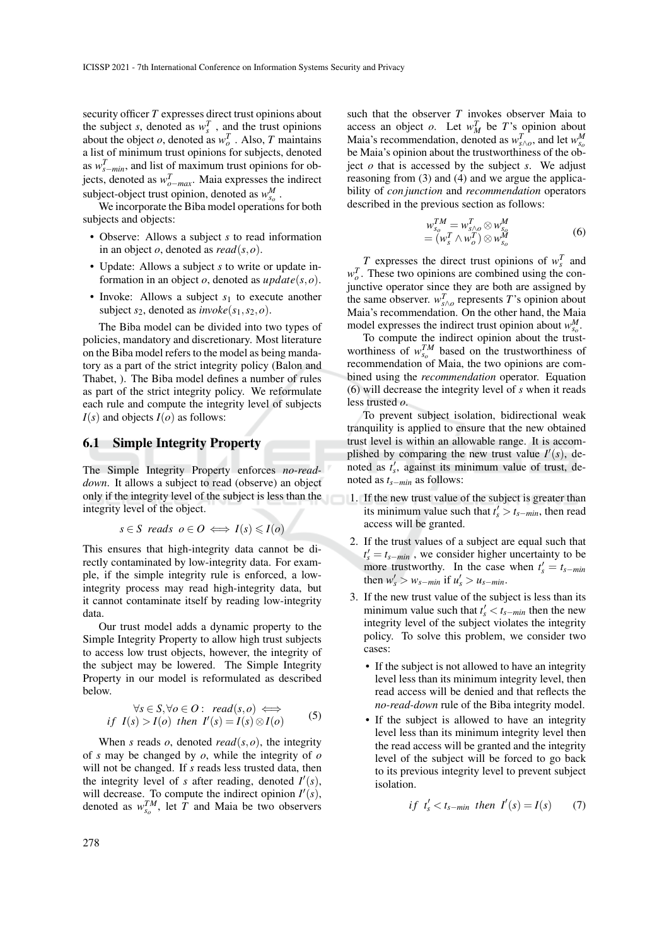security officer *T* expresses direct trust opinions about the subject *s*, denoted as  $w_s^T$ , and the trust opinions about the object *o*, denoted as  $w_o^T$ . Also, *T* maintains a list of minimum trust opinions for subjects, denoted as  $w_{s-min}^T$ , and list of maximum trust opinions for objects, denoted as  $w_{o-max}^T$ . Maia expresses the indirect subject-object trust opinion, denoted as  $w_{s_0}^M$ .

We incorporate the Biba model operations for both subjects and objects:

- Observe: Allows a subject *s* to read information in an object *o*, denoted as *read*(*s*,*o*).
- Update: Allows a subject *s* to write or update information in an object *o*, denoted as *update*(*s*,*o*).
- Invoke: Allows a subject  $s_1$  to execute another subject  $s_2$ , denoted as *invoke*( $s_1$ , $s_2$ , $o$ ).

The Biba model can be divided into two types of policies, mandatory and discretionary. Most literature on the Biba model refers to the model as being mandatory as a part of the strict integrity policy (Balon and Thabet, ). The Biba model defines a number of rules as part of the strict integrity policy. We reformulate each rule and compute the integrity level of subjects  $I(s)$  and objects  $I(o)$  as follows:

#### 6.1 Simple Integrity Property

The Simple Integrity Property enforces *no-readdown*. It allows a subject to read (observe) an object only if the integrity level of the subject is less than the integrity level of the object.

$$
s \in S
$$
 reads  $o \in O \iff I(s) \leq I(o)$ 

This ensures that high-integrity data cannot be directly contaminated by low-integrity data. For example, if the simple integrity rule is enforced, a lowintegrity process may read high-integrity data, but it cannot contaminate itself by reading low-integrity data.

Our trust model adds a dynamic property to the Simple Integrity Property to allow high trust subjects to access low trust objects, however, the integrity of the subject may be lowered. The Simple Integrity Property in our model is reformulated as described below.

$$
\forall s \in S, \forall o \in O: \text{ read}(s, o) \iff
$$
  
if  $I(s) > I(o)$  then  $I'(s) = I(s) \otimes I(o)$  (5)

When *s* reads *o*, denoted *read*( $s$ , $o$ ), the integrity of *s* may be changed by *o*, while the integrity of *o* will not be changed. If *s* reads less trusted data, then the integrity level of *s* after reading, denoted  $I'(s)$ , will decrease. To compute the indirect opinion  $I'(s)$ , denoted as  $w_{s_0}^{TM}$ , let *T* and Maia be two observers

such that the observer *T* invokes observer Maia to access an object *o*. Let  $w_M^T$  be *T*'s opinion about Maia's recommendation, denoted as  $w_{s \wedge o}^T$ , and let  $w_{s_o}^M$ be Maia's opinion about the trustworthiness of the object *o* that is accessed by the subject *s*. We adjust reasoning from (3) and (4) and we argue the applicability of *con junction* and *recommendation* operators described in the previous section as follows:

$$
w_{s_0}^{TM} = w_{s \wedge o}^T \otimes w_{s_0}^M
$$
  
=  $(w_s^T \wedge w_o^T) \otimes w_{s_0}^M$  (6)

*T* expresses the direct trust opinions of  $w_s^T$  and  $w_o^T$ . These two opinions are combined using the conjunctive operator since they are both are assigned by the same observer.  $w_{s \wedge o}^T$  represents *T*'s opinion about Maia's recommendation. On the other hand, the Maia model expresses the indirect trust opinion about  $w_{s_0}^M$ .

To compute the indirect opinion about the trustworthiness of  $w_{s_0}^{TM}$  based on the trustworthiness of recommendation of Maia, the two opinions are combined using the *recommendation* operator. Equation (6) will decrease the integrity level of *s* when it reads less trusted *o*.

To prevent subject isolation, bidirectional weak tranquility is applied to ensure that the new obtained trust level is within an allowable range. It is accomplished by comparing the new trust value  $I'(s)$ , denoted as  $t'_{s}$ , against its minimum value of trust, denoted as *ts*−*min* as follows:

- 1. If the new trust value of the subject is greater than its minimum value such that  $t'_s > t_{s-min}$ , then read access will be granted.
- 2. If the trust values of a subject are equal such that  $t'_{s} = t_{s-min}$ , we consider higher uncertainty to be more trustworthy. In the case when  $t'_{s} = t_{s-min}$ then  $w'_s > w_{s-min}$  if  $u'_s > u_{s-min}$ .
- 3. If the new trust value of the subject is less than its minimum value such that  $t'_{s} < t_{s-min}$  then the new integrity level of the subject violates the integrity policy. To solve this problem, we consider two cases:
	- If the subject is not allowed to have an integrity level less than its minimum integrity level, then read access will be denied and that reflects the *no-read-down* rule of the Biba integrity model.
	- If the subject is allowed to have an integrity level less than its minimum integrity level then the read access will be granted and the integrity level of the subject will be forced to go back to its previous integrity level to prevent subject isolation.

$$
if \t t'_{s} < t_{s-min} then \t I'(s) = I(s) \tag{7}
$$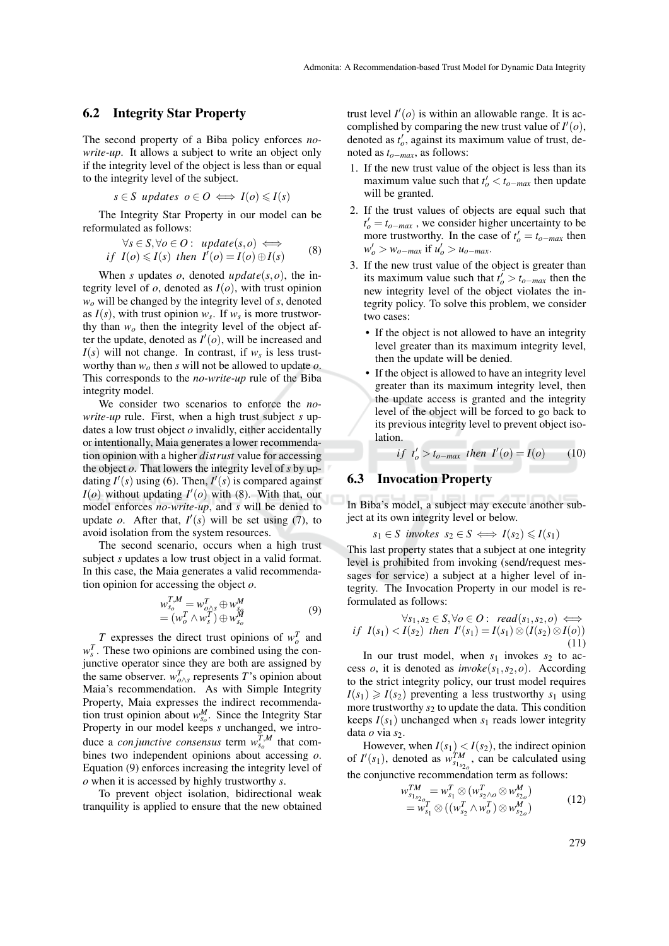#### 6.2 Integrity Star Property

The second property of a Biba policy enforces *nowrite-up*. It allows a subject to write an object only if the integrity level of the object is less than or equal to the integrity level of the subject.

$$
s \in S
$$
 updates  $o \in O \iff I(o) \leq I(s)$ 

The Integrity Star Property in our model can be reformulated as follows:

$$
\forall s \in S, \forall o \in O: update(s, o) \iffif I(o) \leq I(s) then I'(o) = I(o) \oplus I(s)
$$
 (8)

When *s* updates  $o$ , denoted  $update(s, o)$ , the integrity level of *o*, denoted as *I*(*o*), with trust opinion *w<sup>o</sup>* will be changed by the integrity level of *s*, denoted as  $I(s)$ , with trust opinion  $w_s$ . If  $w_s$  is more trustworthy than  $w<sub>o</sub>$  then the integrity level of the object after the update, denoted as  $I'(o)$ , will be increased and  $I(s)$  will not change. In contrast, if  $w_s$  is less trustworthy than *w<sup>o</sup>* then *s* will not be allowed to update *o*. This corresponds to the *no-write-up* rule of the Biba integrity model.

We consider two scenarios to enforce the *nowrite-up* rule. First, when a high trust subject *s* updates a low trust object *o* invalidly, either accidentally or intentionally, Maia generates a lower recommendation opinion with a higher *distrust* value for accessing the object *o*. That lowers the integrity level of *s* by updating  $I'(s)$  using (6). Then,  $I'(s)$  is compared against  $I(o)$  without updating  $I'(o)$  with (8). With that, our model enforces *no-write-up*, and *s* will be denied to update *o*. After that,  $I'(s)$  will be set using (7), to avoid isolation from the system resources.

The second scenario, occurs when a high trust subject *s* updates a low trust object in a valid format. In this case, the Maia generates a valid recommendation opinion for accessing the object *o*.

$$
w_{s_o}^{T,M} = w_{o/s}^T \oplus w_{s_o}^M
$$
  
= 
$$
(w_o^T \wedge w_s^T) \oplus w_{s_o}^M
$$
 (9)

*T* expresses the direct trust opinions of  $w_o^T$  and  $w_s^T$ . These two opinions are combined using the conjunctive operator since they are both are assigned by the same observer.  $w_{o \wedge s}^T$  represents *T*'s opinion about Maia's recommendation. As with Simple Integrity Property, Maia expresses the indirect recommendation trust opinion about  $w_{s_0}^M$ . Since the Integrity Star Property in our model keeps *s* unchanged, we introduce a *con junctive consensus* term  $w_{s_o}^{T,M}$  that combines two independent opinions about accessing *o*. Equation (9) enforces increasing the integrity level of *o* when it is accessed by highly trustworthy *s*.

To prevent object isolation, bidirectional weak tranquility is applied to ensure that the new obtained trust level  $I'(o)$  is within an allowable range. It is accomplished by comparing the new trust value of  $I'(o)$ , denoted as  $t'_o$ , against its maximum value of trust, denoted as *to*−*max*, as follows:

- 1. If the new trust value of the object is less than its maximum value such that  $t'_o < t_{o-max}$  then update will be granted.
- 2. If the trust values of objects are equal such that  $t'_{o} = t_{o-max}$ , we consider higher uncertainty to be more trustworthy. In the case of  $t'_o = t_{o-max}$  then  $w'_o > w_{o-max}$  if  $u'_o > u_{o-max}$ .
- 3. If the new trust value of the object is greater than its maximum value such that  $t'_o > t_{o-max}$  then the new integrity level of the object violates the integrity policy. To solve this problem, we consider two cases:
	- If the object is not allowed to have an integrity level greater than its maximum integrity level, then the update will be denied.
	- If the object is allowed to have an integrity level greater than its maximum integrity level, then the update access is granted and the integrity level of the object will be forced to go back to its previous integrity level to prevent object isolation.

 $if t'_{o} > t_{o-max}$  *then*  $I'(o) = I(o)$  (10)

#### 6.3 Invocation Property

In Biba's model, a subject may execute another subject at its own integrity level or below.

$$
s_1 \in S \ \text{involes} \ s_2 \in S \iff I(s_2) \leqslant I(s_1)
$$

This last property states that a subject at one integrity level is prohibited from invoking (send/request messages for service) a subject at a higher level of integrity. The Invocation Property in our model is reformulated as follows:

$$
\forall s_1, s_2 \in S, \forall o \in O: \text{ read}(s_1, s_2, o) \iff
$$
  
if  $I(s_1) < I(s_2)$  then  $I'(s_1) = I(s_1) \otimes (I(s_2) \otimes I(o))$   
(11)

In our trust model, when  $s_1$  invokes  $s_2$  to access *o*, it is denoted as *invoke*(*s*1,*s*2,*o*). According to the strict integrity policy, our trust model requires  $I(s_1) \geq I(s_2)$  preventing a less trustworthy  $s_1$  using more trustworthy  $s_2$  to update the data. This condition keeps  $I(s_1)$  unchanged when  $s_1$  reads lower integrity data *o* via *s*<sub>2</sub>.

However, when  $I(s_1) < I(s_2)$ , the indirect opinion of  $I'(s_1)$ , denoted as  $w_{s_1s_2}^{\mathcal{T}M}$ , can be calculated using the conjunctive recommendation term as follows:

$$
w_{s_{1}s_{2o}}^{TM} = w_{s_1}^T \otimes (w_{s_2 \wedge o}^T \otimes w_{s_{2o}}^M) = w_{s_1}^T \otimes ((w_{s_2}^T \wedge w_o^T) \otimes w_{s_{2o}}^M)
$$
(12)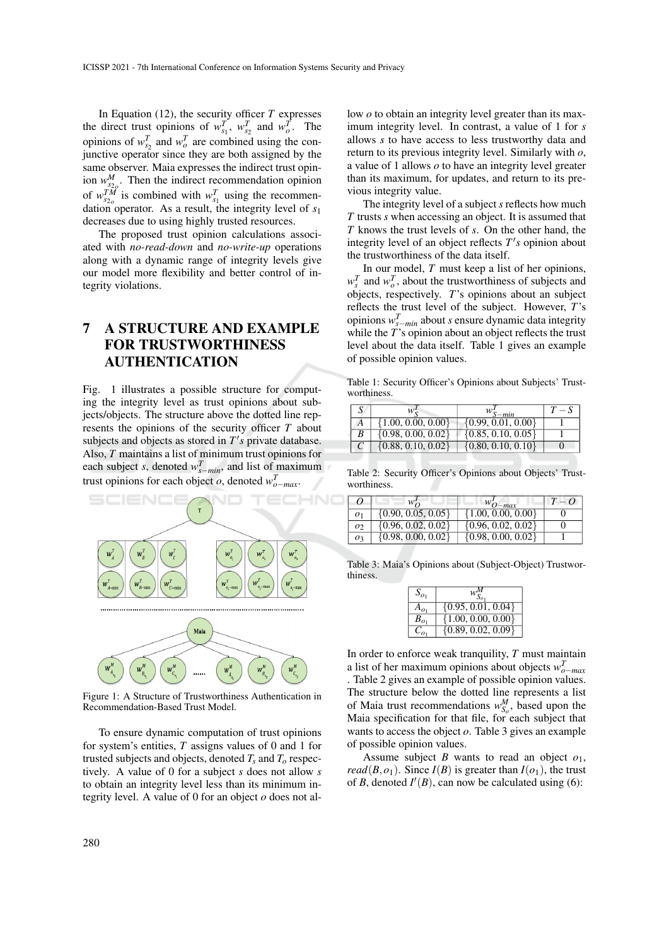In Equation (12), the security officer *T* expresses the direct trust opinions of  $w_{s_1}^T$ ,  $w_{s_2}^T$  and  $w_o^T$ . The opinions of  $w_{s_2}^T$  and  $w_o^T$  are combined using the conjunctive operator since they are both assigned by the same observer. Maia expresses the indirect trust opinion  $w_{s_{2o}}^M$ . Then the indirect recommendation opinion of  $w_{s_2}^{TM}$  is combined with  $w_{s_1}^T$  using the recommendation operator. As a result, the integrity level of *s*<sup>1</sup> decreases due to using highly trusted resources.

The proposed trust opinion calculations associated with *no-read-down* and *no-write-up* operations along with a dynamic range of integrity levels give our model more flexibility and better control of integrity violations.

## 7 A STRUCTURE AND EXAMPLE FOR TRUSTWORTHINESS AUTHENTICATION

Fig. 1 illustrates a possible structure for computing the integrity level as trust opinions about subjects/objects. The structure above the dotted line represents the opinions of the security officer *T* about subjects and objects as stored in  $T's$  private database. Also, *T* maintains a list of minimum trust opinions for each subject *s*, denoted  $w_{s-min}^T$ , and list of maximum trust opinions for each object  $o$ , denoted  $w_{o-max}^T$ .



Figure 1: A Structure of Trustworthiness Authentication in Recommendation-Based Trust Model.

To ensure dynamic computation of trust opinions for system's entities, *T* assigns values of 0 and 1 for trusted subjects and objects, denoted  $T_s$  and  $T_o$  respectively. A value of 0 for a subject *s* does not allow *s* to obtain an integrity level less than its minimum integrity level. A value of 0 for an object *o* does not al-

low *o* to obtain an integrity level greater than its maximum integrity level. In contrast, a value of 1 for *s* allows *s* to have access to less trustworthy data and return to its previous integrity level. Similarly with *o*, a value of 1 allows *o* to have an integrity level greater than its maximum, for updates, and return to its previous integrity value.

The integrity level of a subject *s* reflects how much *T* trusts *s* when accessing an object. It is assumed that *T* knows the trust levels of *s*. On the other hand, the integrity level of an object reflects  $T's$  opinion about the trustworthiness of the data itself.

In our model, *T* must keep a list of her opinions,  $w_s^T$  and  $w_o^T$ , about the trustworthiness of subjects and objects, respectively. *T*'s opinions about an subject reflects the trust level of the subject. However, *T*'s opinions  $w_{s-min}^T$  about *s* ensure dynamic data integrity while the *T*'s opinion about an object reflects the trust level about the data itself. Table 1 gives an example of possible opinion values.

Table 1: Security Officer's Opinions about Subjects' Trustworthiness.

|   |                        | min                    | $T = S$ |
|---|------------------------|------------------------|---------|
|   | $\{1.00, 0.00, 0.00\}$ | $\{0.99, 0.01, 0.00\}$ |         |
| B | $\{0.98, 0.00, 0.02\}$ | $\{0.85, 0.10, 0.05\}$ |         |
|   | $\{0.88, 0.10, 0.02\}$ | $\{0.80, 0.10, 0.10\}$ |         |

Table 2: Security Officer's Opinions about Objects' Trustworthiness.

|                | $w_{\Omega}$           | $W_{O-max}$            |  |
|----------------|------------------------|------------------------|--|
| 01             | $\{0.90, 0.05, 0.05\}$ | $\{1.00, 0.00, 0.00\}$ |  |
| O <sub>2</sub> | $\{0.96, 0.02, 0.02\}$ | $\{0.96, 0.02, 0.02\}$ |  |
| O٩             | $\{0.98, 0.00, 0.02\}$ | $\{0.98, 0.00, 0.02\}$ |  |

Table 3: Maia's Opinions about (Subject-Object) Trustworthiness.

| $S_{\rho_1}$ |                        |  |
|--------------|------------------------|--|
|              | $\{0.95, 0.01, 0.04\}$ |  |
| $B_{\alpha}$ | $\{1.00, 0.00, 0.00\}$ |  |
|              | $\{0.89, 0.02, 0.09\}$ |  |

In order to enforce weak tranquility, *T* must maintain a list of her maximum opinions about objects  $w_{o-max}$ . Table 2 gives an example of possible opinion values. The structure below the dotted line represents a list of Maia trust recommendations  $w_{S_0}^M$ , based upon the Maia specification for that file, for each subject that wants to access the object *o*. Table 3 gives an example of possible opinion values.

Assume subject *B* wants to read an object  $o_1$ , *read*( $B$ , $o_1$ ). Since  $I(B)$  is greater than  $I(o_1)$ , the trust of *B*, denoted  $I'(B)$ , can now be calculated using (6):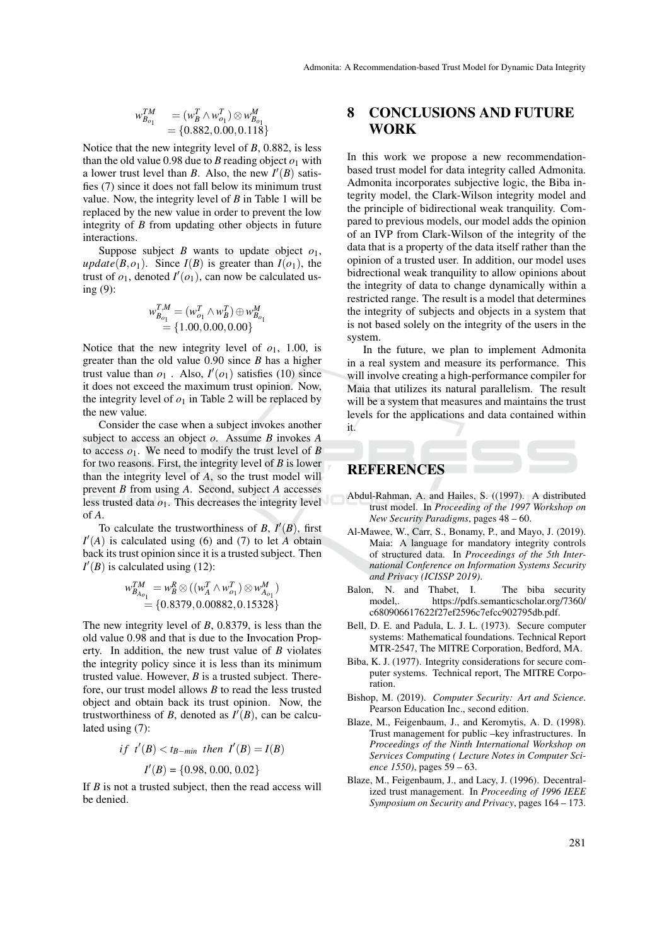$$
w_{B_{o_1}}^{TM} = (w_B^T \wedge w_{o_1}^T) \otimes w_{B_{o_1}}^M
$$
  
= {0.882, 0.00, 0.118}

Notice that the new integrity level of *B*, 0.882, is less than the old value 0.98 due to *B* reading object  $o_1$  with a lower trust level than *B*. Also, the new  $I'(B)$  satisfies (7) since it does not fall below its minimum trust value. Now, the integrity level of *B* in Table 1 will be replaced by the new value in order to prevent the low integrity of *B* from updating other objects in future interactions.

Suppose subject  $B$  wants to update object  $o_1$ , *update*( $B$ , $o_1$ ). Since  $I(B)$  is greater than  $I(o_1)$ , the trust of  $o_1$ , denoted  $I'(o_1)$ , can now be calculated using (9):

$$
w_{B_{o_1}}^{T,M} = (w_{o_1}^T \wedge w_B^T) \oplus w_{B_{o_1}}^M
$$
  
= {1.00, 0.00, 0.00}

Notice that the new integrity level of  $o_1$ , 1.00, is greater than the old value 0.90 since *B* has a higher trust value than  $o_1$ . Also,  $I'(o_1)$  satisfies (10) since it does not exceed the maximum trust opinion. Now, the integrity level of  $o_1$  in Table 2 will be replaced by the new value.

Consider the case when a subject invokes another subject to access an object *o*. Assume *B* invokes *A* to access  $\rho_1$ . We need to modify the trust level of *B* for two reasons. First, the integrity level of *B* is lower than the integrity level of *A*, so the trust model will prevent *B* from using *A*. Second, subject *A* accesses less trusted data *o*1. This decreases the integrity level of *A*.

To calculate the trustworthiness of *B*,  $I'(B)$ , first  $I'(A)$  is calculated using (6) and (7) to let *A* obtain back its trust opinion since it is a trusted subject. Then  $I'(B)$  is calculated using (12):

$$
w_{B_{A_{o_1}}}^{TM} = w_B^R \otimes ((w_A^T \wedge w_{o_1}^T) \otimes w_{A_{o_1}}^M) = \{0.8379, 0.00882, 0.15328\}
$$

The new integrity level of *B*, 0.8379, is less than the old value 0.98 and that is due to the Invocation Property. In addition, the new trust value of *B* violates the integrity policy since it is less than its minimum trusted value. However, *B* is a trusted subject. Therefore, our trust model allows *B* to read the less trusted object and obtain back its trust opinion. Now, the trustworthiness of *B*, denoted as  $I'(B)$ , can be calculated using (7):

if 
$$
t'(B) < t_{B-min}
$$
 then  $I'(B) = I(B)$   
 $I'(B) = \{0.98, 0.00, 0.02\}$ 

If *B* is not a trusted subject, then the read access will be denied.

### 8 CONCLUSIONS AND FUTURE WORK

In this work we propose a new recommendationbased trust model for data integrity called Admonita. Admonita incorporates subjective logic, the Biba integrity model, the Clark-Wilson integrity model and the principle of bidirectional weak tranquility. Compared to previous models, our model adds the opinion of an IVP from Clark-Wilson of the integrity of the data that is a property of the data itself rather than the opinion of a trusted user. In addition, our model uses bidrectional weak tranquility to allow opinions about the integrity of data to change dynamically within a restricted range. The result is a model that determines the integrity of subjects and objects in a system that is not based solely on the integrity of the users in the system.

In the future, we plan to implement Admonita in a real system and measure its performance. This will involve creating a high-performance compiler for Maia that utilizes its natural parallelism. The result will be a system that measures and maintains the trust levels for the applications and data contained within it.

#### **REFERENCES**

- Abdul-Rahman, A. and Hailes, S. ((1997). A distributed trust model. In *Proceeding of the 1997 Workshop on New Security Paradigms*, pages 48 – 60.
- Al-Mawee, W., Carr, S., Bonamy, P., and Mayo, J. (2019). Maia: A language for mandatory integrity controls of structured data. In *Proceedings of the 5th International Conference on Information Systems Security and Privacy (ICISSP 2019)*.
- Balon, N. and Thabet, I. The biba security model,. https://pdfs.semanticscholar.org/7360/ c680906617622f27ef2596c7efcc902795db.pdf.
- Bell, D. E. and Padula, L. J. L. (1973). Secure computer systems: Mathematical foundations. Technical Report MTR-2547, The MITRE Corporation, Bedford, MA.
- Biba, K. J. (1977). Integrity considerations for secure computer systems. Technical report, The MITRE Corporation.
- Bishop, M. (2019). *Computer Security: Art and Science*. Pearson Education Inc., second edition.
- Blaze, M., Feigenbaum, J., and Keromytis, A. D. (1998). Trust management for public –key infrastructures. In *Proceedings of the Ninth International Workshop on Services Computing ( Lecture Notes in Computer Science 1550)*, pages 59 – 63.
- Blaze, M., Feigenbaum, J., and Lacy, J. (1996). Decentralized trust management. In *Proceeding of 1996 IEEE Symposium on Security and Privacy*, pages 164 – 173.